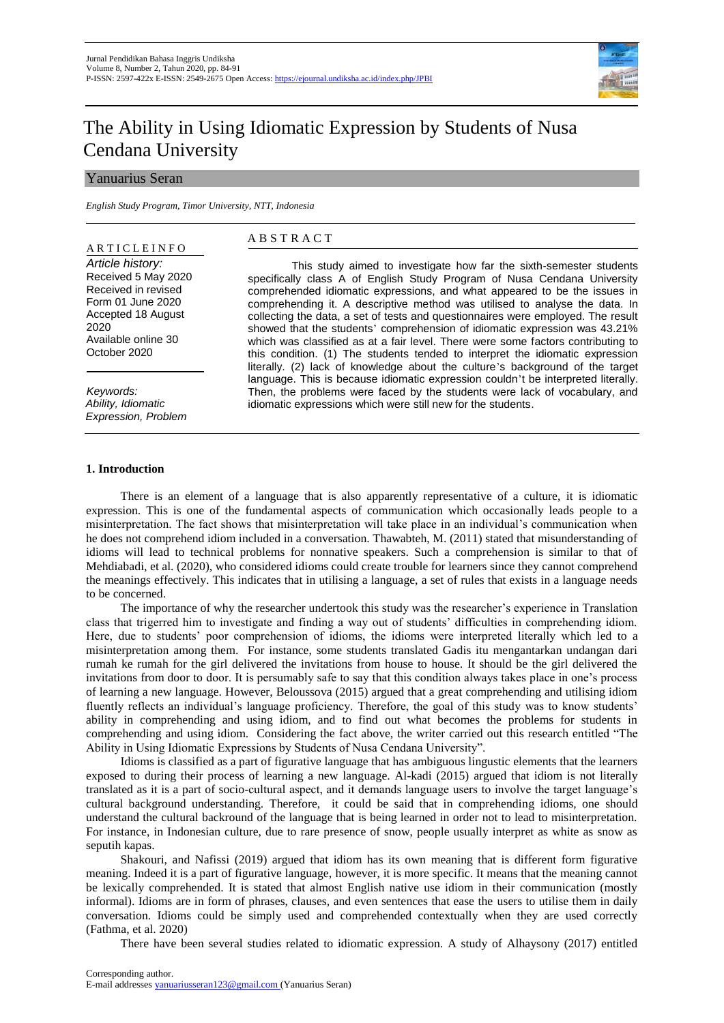

# The Ability in Using Idiomatic Expression by Students of Nusa Cendana University

# Yanuarius Seran

*English Study Program, Timor University, NTT, Indonesia*

## A R T I C L E I N F O

*Article history:*  Received 5 May 2020 Received in revised Form 01 June 2020 Accepted 18 August 2020 Available online 30 October 2020

*Keywords: Ability, Idiomatic Expression, Problem* 

# A B S T R A C T

This study aimed to investigate how far the sixth-semester students specifically class A of English Study Program of Nusa Cendana University comprehended idiomatic expressions, and what appeared to be the issues in comprehending it. A descriptive method was utilised to analyse the data. In collecting the data, a set of tests and questionnaires were employed. The result showed that the students' comprehension of idiomatic expression was 43.21% which was classified as at a fair level. There were some factors contributing to this condition. (1) The students tended to interpret the idiomatic expression literally. (2) lack of knowledge about the culture's background of the target language. This is because idiomatic expression couldn't be interpreted literally. Then, the problems were faced by the students were lack of vocabulary, and idiomatic expressions which were still new for the students.

# **1. Introduction**

There is an element of a language that is also apparently representative of a culture, it is idiomatic expression. This is one of the fundamental aspects of communication which occasionally leads people to a misinterpretation. The fact shows that misinterpretation will take place in an individual's communication when he does not comprehend idiom included in a conversation. Thawabteh, M. (2011) stated that misunderstanding of idioms will lead to technical problems for nonnative speakers. Such a comprehension is similar to that of Mehdiabadi, et al. (2020), who considered idioms could create trouble for learners since they cannot comprehend the meanings effectively. This indicates that in utilising a language, a set of rules that exists in a language needs to be concerned.

The importance of why the researcher undertook this study was the researcher's experience in Translation class that trigerred him to investigate and finding a way out of students' difficulties in comprehending idiom. Here, due to students' poor comprehension of idioms, the idioms were interpreted literally which led to a misinterpretation among them. For instance, some students translated Gadis itu mengantarkan undangan dari rumah ke rumah for the girl delivered the invitations from house to house. It should be the girl delivered the invitations from door to door. It is persumably safe to say that this condition always takes place in one's process of learning a new language. However, Beloussova (2015) argued that a great comprehending and utilising idiom fluently reflects an individual's language proficiency. Therefore, the goal of this study was to know students' ability in comprehending and using idiom, and to find out what becomes the problems for students in comprehending and using idiom. Considering the fact above, the writer carried out this research entitled "The Ability in Using Idiomatic Expressions by Students of Nusa Cendana University".

Idioms is classified as a part of figurative language that has ambiguous lingustic elements that the learners exposed to during their process of learning a new language. Al-kadi (2015) argued that idiom is not literally translated as it is a part of socio-cultural aspect, and it demands language users to involve the target language's cultural background understanding. Therefore, it could be said that in comprehending idioms, one should understand the cultural backround of the language that is being learned in order not to lead to misinterpretation. For instance, in Indonesian culture, due to rare presence of snow, people usually interpret as white as snow as seputih kapas.

Shakouri, and Nafissi (2019) argued that idiom has its own meaning that is different form figurative meaning. Indeed it is a part of figurative language, however, it is more specific. It means that the meaning cannot be lexically comprehended. It is stated that almost English native use idiom in their communication (mostly informal). Idioms are in form of phrases, clauses, and even sentences that ease the users to utilise them in daily conversation. Idioms could be simply used and comprehended contextually when they are used correctly (Fathma, et al. 2020)

There have been several studies related to idiomatic expression. A study of Alhaysony (2017) entitled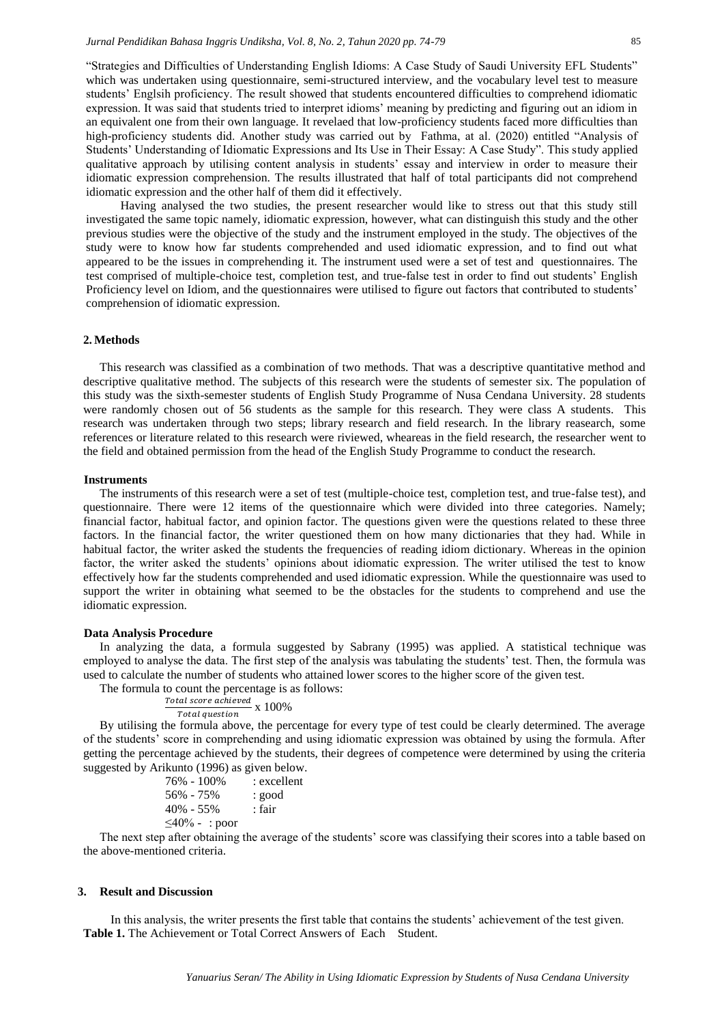"Strategies and Difficulties of Understanding English Idioms: A Case Study of Saudi University EFL Students" which was undertaken using questionnaire, semi-structured interview, and the vocabulary level test to measure students' Englsih proficiency. The result showed that students encountered difficulties to comprehend idiomatic expression. It was said that students tried to interpret idioms' meaning by predicting and figuring out an idiom in an equivalent one from their own language. It revelaed that low-proficiency students faced more difficulties than high-proficiency students did. Another study was carried out by Fathma, at al. (2020) entitled "Analysis of Students' Understanding of Idiomatic Expressions and Its Use in Their Essay: A Case Study". This study applied qualitative approach by utilising content analysis in students' essay and interview in order to measure their idiomatic expression comprehension. The results illustrated that half of total participants did not comprehend idiomatic expression and the other half of them did it effectively.

Having analysed the two studies, the present researcher would like to stress out that this study still investigated the same topic namely, idiomatic expression, however, what can distinguish this study and the other previous studies were the objective of the study and the instrument employed in the study. The objectives of the study were to know how far students comprehended and used idiomatic expression, and to find out what appeared to be the issues in comprehending it. The instrument used were a set of test and questionnaires. The test comprised of multiple-choice test, completion test, and true-false test in order to find out students' English Proficiency level on Idiom, and the questionnaires were utilised to figure out factors that contributed to students' comprehension of idiomatic expression.

# **2. Methods**

This research was classified as a combination of two methods. That was a descriptive quantitative method and descriptive qualitative method. The subjects of this research were the students of semester six. The population of this study was the sixth-semester students of English Study Programme of Nusa Cendana University. 28 students were randomly chosen out of 56 students as the sample for this research. They were class A students. This research was undertaken through two steps; library research and field research. In the library reasearch, some references or literature related to this research were riviewed, wheareas in the field research, the researcher went to the field and obtained permission from the head of the English Study Programme to conduct the research.

#### **Instruments**

The instruments of this research were a set of test (multiple-choice test, completion test, and true-false test), and questionnaire. There were 12 items of the questionnaire which were divided into three categories. Namely; financial factor, habitual factor, and opinion factor. The questions given were the questions related to these three factors. In the financial factor, the writer questioned them on how many dictionaries that they had. While in habitual factor, the writer asked the students the frequencies of reading idiom dictionary. Whereas in the opinion factor, the writer asked the students' opinions about idiomatic expression. The writer utilised the test to know effectively how far the students comprehended and used idiomatic expression. While the questionnaire was used to support the writer in obtaining what seemed to be the obstacles for the students to comprehend and use the idiomatic expression.

# **Data Analysis Procedure**

In analyzing the data, a formula suggested by Sabrany (1995) was applied. A statistical technique was employed to analyse the data. The first step of the analysis was tabulating the students' test. Then, the formula was used to calculate the number of students who attained lower scores to the higher score of the given test.

The formula to count the percentage is as follows:

$$
\frac{\text{Total score achieved}}{\text{Total question}} \times 100\%
$$

By utilising the formula above, the percentage for every type of test could be clearly determined. The average of the students' score in comprehending and using idiomatic expression was obtained by using the formula. After getting the percentage achieved by the students, their degrees of competence were determined by using the criteria suggested by Arikunto (1996) as given below.

| 76% - 100%           | : excellent |
|----------------------|-------------|
| 56% - 75%            | : good      |
| 40% - 55%            | : fair      |
| $\leq 40\%$ - : poor |             |
|                      |             |

The next step after obtaining the average of the students' score was classifying their scores into a table based on the above-mentioned criteria.

#### **3. Result and Discussion**

In this analysis, the writer presents the first table that contains the students' achievement of the test given. **Table 1.** The Achievement or Total Correct Answers of Each Student.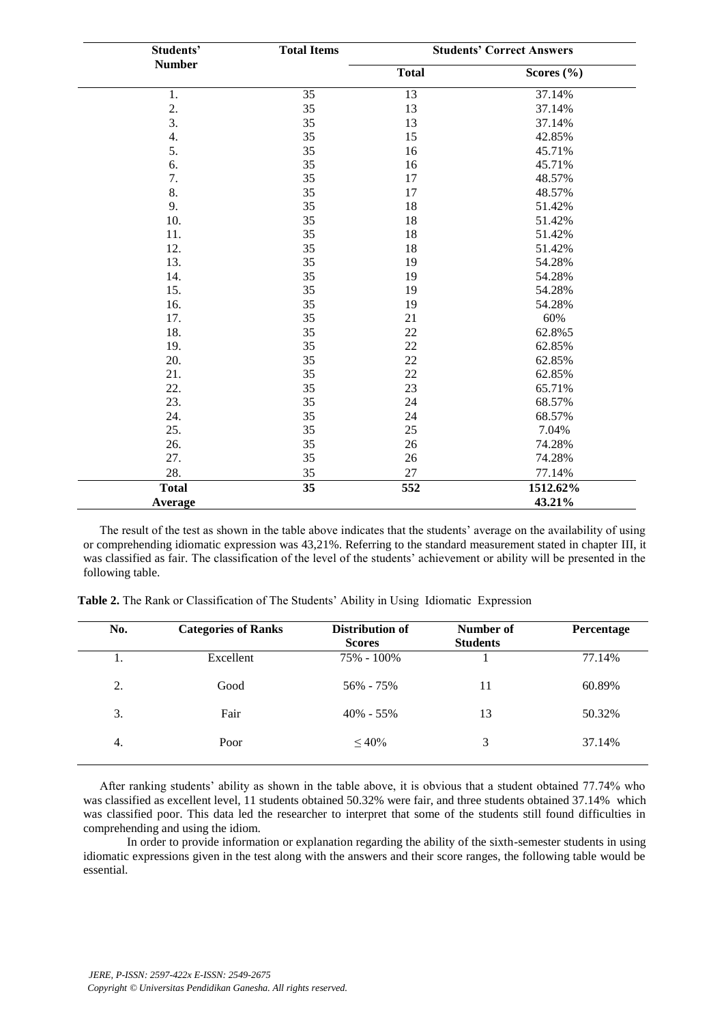| Students'     | <b>Total Items</b> |                 | <b>Students' Correct Answers</b> |  |
|---------------|--------------------|-----------------|----------------------------------|--|
| <b>Number</b> |                    | <b>Total</b>    | Scores $(\% )$                   |  |
| 1.            | 35                 | $\overline{13}$ | 37.14%                           |  |
| 2.            | 35                 | 13              | 37.14%                           |  |
| 3.            | 35                 | 13              | 37.14%                           |  |
| 4.            | 35                 | 15              | 42.85%                           |  |
| 5.            | 35                 | 16              | 45.71%                           |  |
| 6.            | 35                 | 16              | 45.71%                           |  |
| 7.            | 35                 | 17              | 48.57%                           |  |
| 8.            | 35                 | 17              | 48.57%                           |  |
| 9.            | 35                 | 18              | 51.42%                           |  |
| 10.           | 35                 | 18              | 51.42%                           |  |
| 11.           | 35                 | 18              | 51.42%                           |  |
| 12.           | 35                 | 18              | 51.42%                           |  |
| 13.           | 35                 | 19              | 54.28%                           |  |
| 14.           | 35                 | 19              | 54.28%                           |  |
| 15.           | 35                 | 19              | 54.28%                           |  |
| 16.           | 35                 | 19              | 54.28%                           |  |
| 17.           | 35                 | 21              | 60%                              |  |
| 18.           | 35                 | 22              | 62.8%5                           |  |
| 19.           | 35                 | $22\,$          | 62.85%                           |  |
| 20.           | 35                 | 22              | 62.85%                           |  |
| 21.           | 35                 | 22              | 62.85%                           |  |
| 22.           | 35                 | 23              | 65.71%                           |  |
| 23.           | 35                 | 24              | 68.57%                           |  |
| 24.           | 35                 | 24              | 68.57%                           |  |
| 25.           | 35                 | 25              | 7.04%                            |  |
| 26.           | 35                 | 26              | 74.28%                           |  |
| 27.           | 35                 | 26              | 74.28%                           |  |
| 28.           | 35                 | 27              | 77.14%                           |  |
| <b>Total</b>  | 35                 | 552             | 1512.62%                         |  |
| Average       |                    |                 | 43.21%                           |  |

The result of the test as shown in the table above indicates that the students' average on the availability of using or comprehending idiomatic expression was 43,21%. Referring to the standard measurement stated in chapter III, it was classified as fair. The classification of the level of the students' achievement or ability will be presented in the following table.

| No. | <b>Categories of Ranks</b> | Distribution of<br><b>Scores</b> | Number of<br><b>Students</b> | Percentage |
|-----|----------------------------|----------------------------------|------------------------------|------------|
| 1.  | Excellent                  | 75% - 100%                       |                              | 77.14%     |
| 2.  | Good                       | 56% - 75%                        | 11                           | 60.89%     |
| 3.  | Fair                       | $40\% - 55\%$                    | 13                           | 50.32%     |
| 4.  | Poor                       | $~10\%$                          | 3                            | 37.14%     |

**Table 2.** The Rank or Classification of The Students' Ability in Using Idiomatic Expression

After ranking students' ability as shown in the table above, it is obvious that a student obtained 77.74% who was classified as excellent level, 11 students obtained 50.32% were fair, and three students obtained 37.14% which was classified poor. This data led the researcher to interpret that some of the students still found difficulties in comprehending and using the idiom.

 In order to provide information or explanation regarding the ability of the sixth-semester students in using idiomatic expressions given in the test along with the answers and their score ranges, the following table would be essential.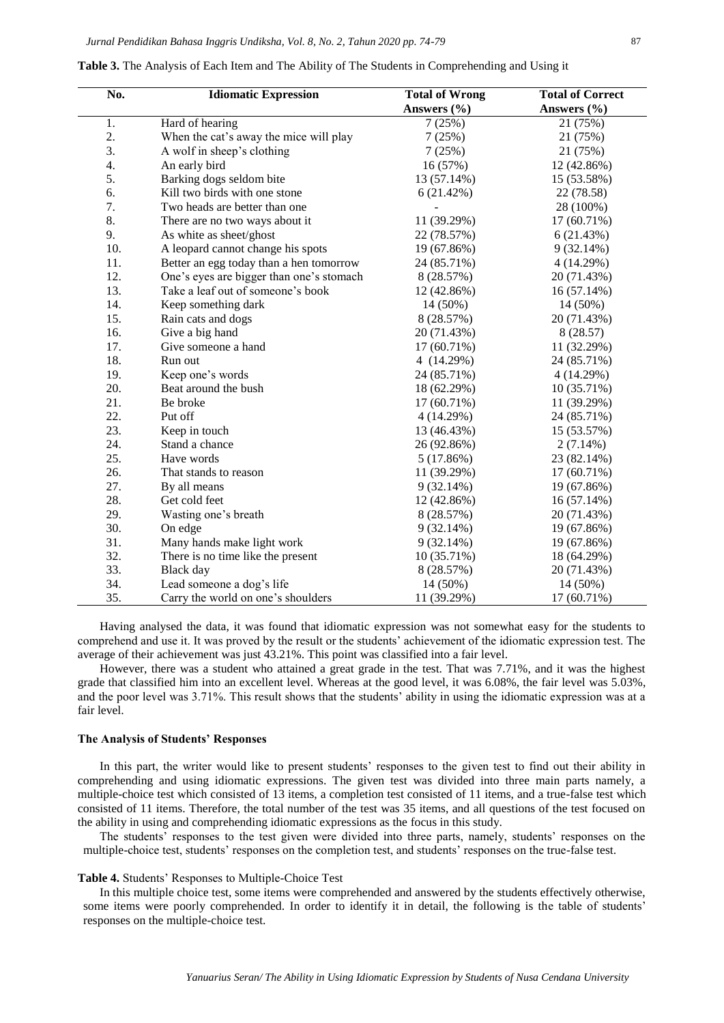| No.              | <b>Idiomatic Expression</b>              | <b>Total of Wrong</b> | <b>Total of Correct</b> |
|------------------|------------------------------------------|-----------------------|-------------------------|
|                  |                                          | Answers (%)           | Answers (%)             |
| 1.               | Hard of hearing                          | 7(25%)                | 21 (75%)                |
| 2.               | When the cat's away the mice will play   | 7(25%)                | 21 (75%)                |
| $\overline{3}$ . | A wolf in sheep's clothing               | 7(25%)                | 21 (75%)                |
| 4.               | An early bird                            | 16 (57%)              | 12 (42.86%)             |
| 5.               | Barking dogs seldom bite                 | 13 (57.14%)           | 15 (53.58%)             |
| 6.               | Kill two birds with one stone            | 6(21.42%)             | 22 (78.58)              |
| 7.               | Two heads are better than one            |                       | 28 (100%)               |
| 8.               | There are no two ways about it           | 11 (39.29%)           | 17 (60.71%)             |
| 9.               | As white as sheet/ghost                  | 22 (78.57%)           | 6(21.43%)               |
| 10.              | A leopard cannot change his spots        | 19 (67.86%)           | 9(32.14%)               |
| 11.              | Better an egg today than a hen tomorrow  | 24 (85.71%)           | 4 (14.29%)              |
| 12.              | One's eyes are bigger than one's stomach | 8 (28.57%)            | 20 (71.43%)             |
| 13.              | Take a leaf out of someone's book        | 12 (42.86%)           | 16 (57.14%)             |
| 14.              | Keep something dark                      | 14 (50%)              | 14 (50%)                |
| 15.              | Rain cats and dogs                       | 8 (28.57%)            | 20 (71.43%)             |
| 16.              | Give a big hand                          | 20 (71.43%)           | 8 (28.57)               |
| 17.              | Give someone a hand                      | 17 (60.71%)           | 11 (32.29%)             |
| 18.              | Run out                                  | 4 (14.29%)            | 24 (85.71%)             |
| 19.              | Keep one's words                         | 24 (85.71%)           | 4(14.29%)               |
| 20.              | Beat around the bush                     | 18 (62.29%)           | 10 (35.71%)             |
| 21.              | Be broke                                 | 17 (60.71%)           | 11 (39.29%)             |
| 22.              | Put off                                  | 4(14.29%)             | 24 (85.71%)             |
| 23.              | Keep in touch                            | 13 (46.43%)           | 15 (53.57%)             |
| 24.              | Stand a chance                           | 26 (92.86%)           | $2(7.14\%)$             |
| 25.              | Have words                               | 5(17.86%)             | 23 (82.14%)             |
| 26.              | That stands to reason                    | 11 (39.29%)           | 17 (60.71%)             |
| 27.              | By all means                             | 9(32.14%)             | 19 (67.86%)             |
| 28.              | Get cold feet                            | 12 (42.86%)           | 16 (57.14%)             |
| 29.              | Wasting one's breath                     | 8 (28.57%)            | 20 (71.43%)             |
| 30.              | On edge                                  | 9(32.14%)             | 19 (67.86%)             |
| 31.              | Many hands make light work               | 9(32.14%)             | 19 (67.86%)             |
| 32.              | There is no time like the present        | 10 (35.71%)           | 18 (64.29%)             |
| 33.              | Black day                                | 8 (28.57%)            | 20 (71.43%)             |
| 34.              | Lead someone a dog's life                | 14 (50%)              | 14 (50%)                |
| 35.              | Carry the world on one's shoulders       | 11 (39.29%)           | 17 (60.71%)             |

**Table 3.** The Analysis of Each Item and The Ability of The Students in Comprehending and Using it

Having analysed the data, it was found that idiomatic expression was not somewhat easy for the students to comprehend and use it. It was proved by the result or the students' achievement of the idiomatic expression test. The average of their achievement was just 43.21%. This point was classified into a fair level.

However, there was a student who attained a great grade in the test. That was 7.71%, and it was the highest grade that classified him into an excellent level. Whereas at the good level, it was 6.08%, the fair level was 5.03%, and the poor level was 3.71%. This result shows that the students' ability in using the idiomatic expression was at a fair level.

## **The Analysis of Students' Responses**

In this part, the writer would like to present students' responses to the given test to find out their ability in comprehending and using idiomatic expressions. The given test was divided into three main parts namely, a multiple-choice test which consisted of 13 items, a completion test consisted of 11 items, and a true-false test which consisted of 11 items. Therefore, the total number of the test was 35 items, and all questions of the test focused on the ability in using and comprehending idiomatic expressions as the focus in this study.

The students' responses to the test given were divided into three parts, namely, students' responses on the multiple-choice test, students' responses on the completion test, and students' responses on the true-false test.

## **Table 4.** Students' Responses to Multiple-Choice Test

In this multiple choice test, some items were comprehended and answered by the students effectively otherwise, some items were poorly comprehended. In order to identify it in detail, the following is the table of students' responses on the multiple-choice test.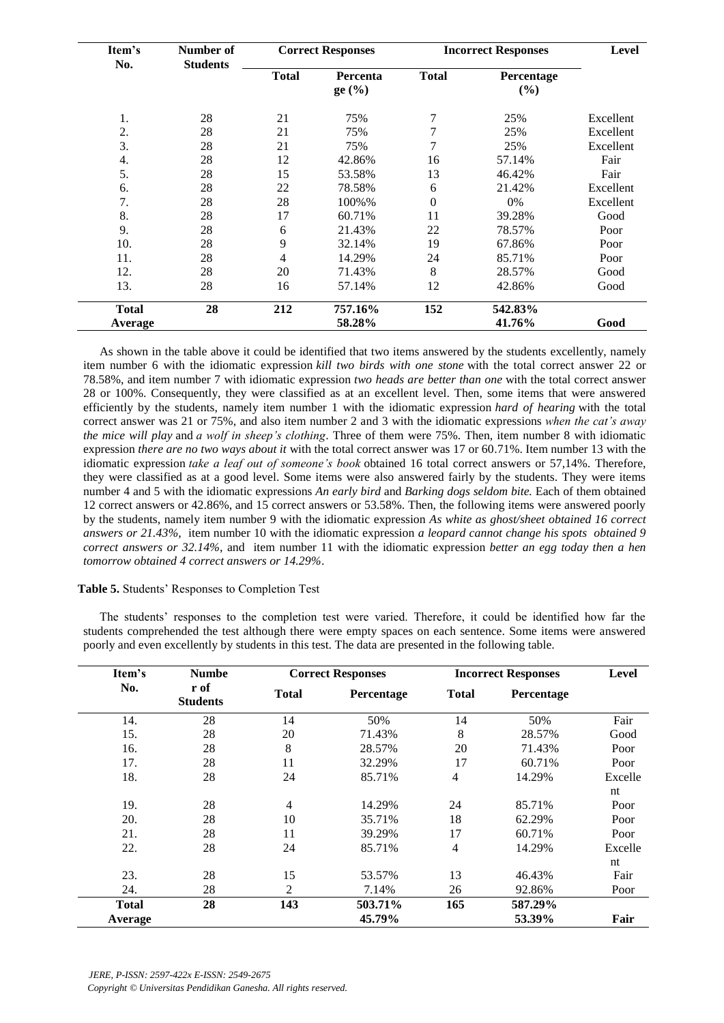| Item's       | Number of       |              | <b>Correct Responses</b> |                | <b>Incorrect Responses</b> |           |
|--------------|-----------------|--------------|--------------------------|----------------|----------------------------|-----------|
| No.          | <b>Students</b> | <b>Total</b> | Percenta<br>$ge($ % $)$  | <b>Total</b>   | Percentage<br>(%)          |           |
| 1.           | 28              | 21           | 75%                      | 7              | 25%                        | Excellent |
| 2.           | 28              | 21           | 75%                      | 7              | 25%                        | Excellent |
| 3.           | 28              | 21           | 75%                      | $\overline{7}$ | 25%                        | Excellent |
| 4.           | 28              | 12           | 42.86%                   | 16             | 57.14%                     | Fair      |
| 5.           | 28              | 15           | 53.58%                   | 13             | 46.42%                     | Fair      |
| 6.           | 28              | 22           | 78.58%                   | 6              | 21.42%                     | Excellent |
| 7.           | 28              | 28           | 100%%                    | $\theta$       | 0%                         | Excellent |
| 8.           | 28              | 17           | 60.71%                   | 11             | 39.28%                     | Good      |
| 9.           | 28              | 6            | 21.43%                   | 22             | 78.57%                     | Poor      |
| 10.          | 28              | 9            | 32.14%                   | 19             | 67.86%                     | Poor      |
| 11.          | 28              | 4            | 14.29%                   | 24             | 85.71%                     | Poor      |
| 12.          | 28              | 20           | 71.43%                   | 8              | 28.57%                     | Good      |
| 13.          | 28              | 16           | 57.14%                   | 12             | 42.86%                     | Good      |
| <b>Total</b> | 28              | 212          | 757.16%                  | 152            | 542.83%                    |           |
| Average      |                 |              | 58.28%                   |                | 41.76%                     | Good      |

As shown in the table above it could be identified that two items answered by the students excellently, namely item number 6 with the idiomatic expression *kill two birds with one stone* with the total correct answer 22 or 78.58%, and item number 7 with idiomatic expression *two heads are better than one* with the total correct answer 28 or 100%. Consequently, they were classified as at an excellent level. Then, some items that were answered efficiently by the students, namely item number 1 with the idiomatic expression *hard of hearing* with the total correct answer was 21 or 75%, and also item number 2 and 3 with the idiomatic expressions *when the cat's away the mice will play* and *a wolf in sheep's clothing*. Three of them were 75%. Then, item number 8 with idiomatic expression *there are no two ways about it* with the total correct answer was 17 or 60.71%. Item number 13 with the idiomatic expression *take a leaf out of someone's book* obtained 16 total correct answers or 57,14%. Therefore, they were classified as at a good level. Some items were also answered fairly by the students. They were items number 4 and 5 with the idiomatic expressions *An early bird* and *Barking dogs seldom bite.* Each of them obtained 12 correct answers or 42.86%, and 15 correct answers or 53.58%. Then, the following items were answered poorly by the students, namely item number 9 with the idiomatic expression *As white as ghost/sheet obtained 16 correct answers or 21.43%*, item number 10 with the idiomatic expression *a leopard cannot change his spots obtained 9 correct answers or 32.14%*, and item number 11 with the idiomatic expression *better an egg today then a hen tomorrow obtained 4 correct answers or 14.29%*.

# **Table 5.** Students' Responses to Completion Test

The students' responses to the completion test were varied. Therefore, it could be identified how far the students comprehended the test although there were empty spaces on each sentence. Some items were answered poorly and even excellently by students in this test. The data are presented in the following table.

| Item's       | <b>Numbe</b><br><b>Correct Responses</b> |                |            | <b>Incorrect Responses</b> | <b>Level</b> |         |
|--------------|------------------------------------------|----------------|------------|----------------------------|--------------|---------|
| No.          | r of<br><b>Students</b>                  | <b>Total</b>   | Percentage | <b>Total</b>               | Percentage   |         |
| 14.          | 28                                       | 14             | 50%        | 14                         | 50%          | Fair    |
| 15.          | 28                                       | 20             | 71.43%     | 8                          | 28.57%       | Good    |
| 16.          | 28                                       | 8              | 28.57%     | 20                         | 71.43%       | Poor    |
| 17.          | 28                                       | 11             | 32.29%     | 17                         | 60.71%       | Poor    |
| 18.          | 28                                       | 24             | 85.71%     | $\overline{4}$             | 14.29%       | Excelle |
|              |                                          |                |            |                            |              | nt      |
| 19.          | 28                                       | $\overline{4}$ | 14.29%     | 24                         | 85.71%       | Poor    |
| 20.          | 28                                       | 10             | 35.71%     | 18                         | 62.29%       | Poor    |
| 21.          | 28                                       | 11             | 39.29%     | 17                         | 60.71%       | Poor    |
| 22.          | 28                                       | 24             | 85.71%     | 4                          | 14.29%       | Excelle |
|              |                                          |                |            |                            |              | nt      |
| 23.          | 28                                       | 15             | 53.57%     | 13                         | 46.43%       | Fair    |
| 24.          | 28                                       | 2              | 7.14%      | 26                         | 92.86%       | Poor    |
| <b>Total</b> | 28                                       | 143            | 503.71%    | 165                        | 587.29%      |         |
| Average      |                                          |                | 45.79%     |                            | 53.39%       | Fair    |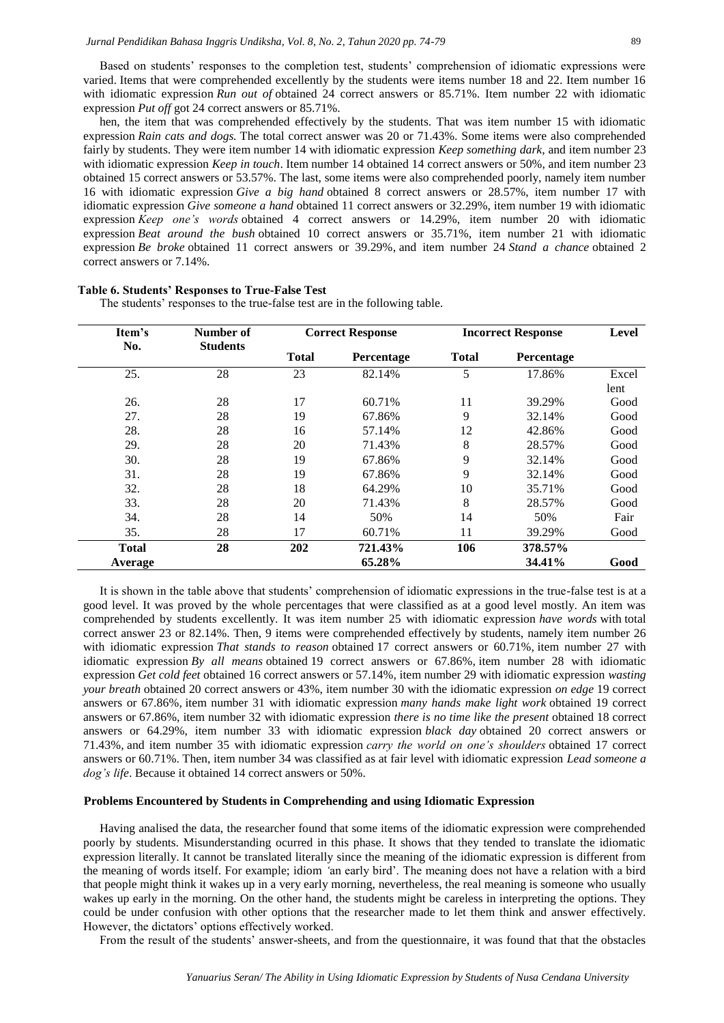Based on students' responses to the completion test, students' comprehension of idiomatic expressions were varied. Items that were comprehended excellently by the students were items number 18 and 22. Item number 16 with idiomatic expression *Run out of* obtained 24 correct answers or 85.71%. Item number 22 with idiomatic expression *Put off* got 24 correct answers or 85.71%.

hen, the item that was comprehended effectively by the students. That was item number 15 with idiomatic expression *Rain cats and dogs.* The total correct answer was 20 or 71.43%. Some items were also comprehended fairly by students. They were item number 14 with idiomatic expression *Keep something dark,* and item number 23 with idiomatic expression *Keep in touch*. Item number 14 obtained 14 correct answers or 50%, and item number 23 obtained 15 correct answers or 53.57%. The last, some items were also comprehended poorly, namely item number 16 with idiomatic expression *Give a big hand* obtained 8 correct answers or 28.57%, item number 17 with idiomatic expression *Give someone a hand* obtained 11 correct answers or 32.29%, item number 19 with idiomatic expression *Keep one's words* obtained 4 correct answers or 14.29%, item number 20 with idiomatic expression *Beat around the bush* obtained 10 correct answers or 35.71%, item number 21 with idiomatic expression *Be broke* obtained 11 correct answers or 39.29%*,* and item number 24 *Stand a chance* obtained 2 correct answers or 7.14%.

| Item's       | Number of       | <b>Correct Response</b> |            | <b>Incorrect Response</b> | <b>Level</b> |       |
|--------------|-----------------|-------------------------|------------|---------------------------|--------------|-------|
| No.          | <b>Students</b> | <b>Total</b>            | Percentage | <b>Total</b>              | Percentage   |       |
| 25.          | 28              | 23                      | 82.14%     | 5                         | 17.86%       | Excel |
|              |                 |                         |            |                           |              | lent  |
| 26.          | 28              | 17                      | 60.71%     | 11                        | 39.29%       | Good  |
| 27.          | 28              | 19                      | 67.86%     | 9                         | 32.14%       | Good  |
| 28.          | 28              | 16                      | 57.14%     | 12                        | 42.86%       | Good  |
| 29.          | 28              | 20                      | 71.43%     | 8                         | 28.57%       | Good  |
| 30.          | 28              | 19                      | 67.86%     | 9                         | 32.14%       | Good  |
| 31.          | 28              | 19                      | 67.86%     | 9                         | 32.14%       | Good  |
| 32.          | 28              | 18                      | 64.29%     | 10                        | 35.71%       | Good  |
| 33.          | 28              | 20                      | 71.43%     | 8                         | 28.57%       | Good  |
| 34.          | 28              | 14                      | 50%        | 14                        | 50%          | Fair  |
| 35.          | 28              | 17                      | 60.71%     | 11                        | 39.29%       | Good  |
| <b>Total</b> | 28              | 202                     | 721.43%    | 106                       | 378.57%      |       |
| Average      |                 |                         | 65.28%     |                           | 34.41%       | Good  |

# **Table 6. Students' Responses to True-False Test**

The students' responses to the true-false test are in the following table.

It is shown in the table above that students' comprehension of idiomatic expressions in the true-false test is at a good level. It was proved by the whole percentages that were classified as at a good level mostly. An item was comprehended by students excellently. It was item number 25 with idiomatic expression *have words* with total correct answer 23 or 82.14%. Then, 9 items were comprehended effectively by students, namely item number 26 with idiomatic expression *That stands to reason* obtained 17 correct answers or 60.71%*,* item number 27 with idiomatic expression *By all means* obtained 19 correct answers or 67.86%*,* item number 28 with idiomatic expression *Get cold feet* obtained 16 correct answers or 57.14%*,* item number 29 with idiomatic expression *wasting your breath* obtained 20 correct answers or 43%, item number 30 with the idiomatic expression *on edge* 19 correct answers or 67.86%*,* item number 31 with idiomatic expression *many hands make light work* obtained 19 correct answers or 67.86%, item number 32 with idiomatic expression *there is no time like the present* obtained 18 correct answers or 64.29%, item number 33 with idiomatic expression *black day* obtained 20 correct answers or 71.43%*,* and item number 35 with idiomatic expression *carry the world on one's shoulders* obtained 17 correct answers or 60.71%. Then, item number 34 was classified as at fair level with idiomatic expression *Lead someone a dog's life*. Because it obtained 14 correct answers or 50%.

# **Problems Encountered by Students in Comprehending and using Idiomatic Expression**

Having analised the data, the researcher found that some items of the idiomatic expression were comprehended poorly by students. Misunderstanding ocurred in this phase. It shows that they tended to translate the idiomatic expression literally. It cannot be translated literally since the meaning of the idiomatic expression is different from the meaning of words itself. For example; idiom *'*an early bird'. The meaning does not have a relation with a bird that people might think it wakes up in a very early morning, nevertheless, the real meaning is someone who usually wakes up early in the morning. On the other hand, the students might be careless in interpreting the options. They could be under confusion with other options that the researcher made to let them think and answer effectively. However, the dictators' options effectively worked.

From the result of the students' answer-sheets, and from the questionnaire, it was found that that the obstacles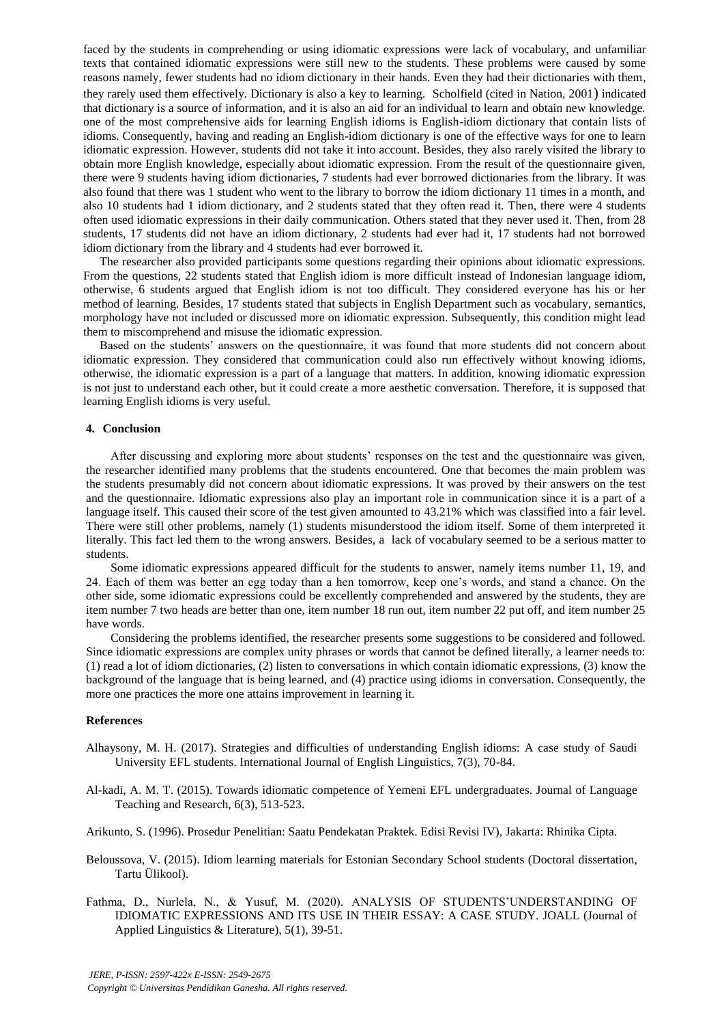faced by the students in comprehending or using idiomatic expressions were lack of vocabulary, and unfamiliar texts that contained idiomatic expressions were still new to the students. These problems were caused by some reasons namely, fewer students had no idiom dictionary in their hands. Even they had their dictionaries with them, they rarely used them effectively. Dictionary is also a key to learning. Scholfield (cited in Nation, 2001) indicated that dictionary is a source of information, and it is also an aid for an individual to learn and obtain new knowledge. one of the most comprehensive aids for learning English idioms is English-idiom dictionary that contain lists of idioms. Consequently, having and reading an English-idiom dictionary is one of the effective ways for one to learn idiomatic expression. However, students did not take it into account. Besides, they also rarely visited the library to obtain more English knowledge, especially about idiomatic expression. From the result of the questionnaire given, there were 9 students having idiom dictionaries, 7 students had ever borrowed dictionaries from the library. It was also found that there was 1 student who went to the library to borrow the idiom dictionary 11 times in a month, and also 10 students had 1 idiom dictionary, and 2 students stated that they often read it. Then, there were 4 students often used idiomatic expressions in their daily communication. Others stated that they never used it. Then, from 28 students, 17 students did not have an idiom dictionary, 2 students had ever had it, 17 students had not borrowed idiom dictionary from the library and 4 students had ever borrowed it.

The researcher also provided participants some questions regarding their opinions about idiomatic expressions. From the questions, 22 students stated that English idiom is more difficult instead of Indonesian language idiom, otherwise, 6 students argued that English idiom is not too difficult. They considered everyone has his or her method of learning. Besides, 17 students stated that subjects in English Department such as vocabulary, semantics, morphology have not included or discussed more on idiomatic expression. Subsequently, this condition might lead them to miscomprehend and misuse the idiomatic expression.

Based on the students' answers on the questionnaire, it was found that more students did not concern about idiomatic expression. They considered that communication could also run effectively without knowing idioms, otherwise, the idiomatic expression is a part of a language that matters. In addition, knowing idiomatic expression is not just to understand each other, but it could create a more aesthetic conversation. Therefore, it is supposed that learning English idioms is very useful.

## **4. Conclusion**

After discussing and exploring more about students' responses on the test and the questionnaire was given, the researcher identified many problems that the students encountered. One that becomes the main problem was the students presumably did not concern about idiomatic expressions. It was proved by their answers on the test and the questionnaire. Idiomatic expressions also play an important role in communication since it is a part of a language itself. This caused their score of the test given amounted to 43.21% which was classified into a fair level. There were still other problems, namely (1) students misunderstood the idiom itself. Some of them interpreted it literally. This fact led them to the wrong answers. Besides, a lack of vocabulary seemed to be a serious matter to students.

Some idiomatic expressions appeared difficult for the students to answer, namely items number 11, 19, and 24. Each of them was better an egg today than a hen tomorrow, keep one's words, and stand a chance. On the other side, some idiomatic expressions could be excellently comprehended and answered by the students, they are item number 7 two heads are better than one, item number 18 run out, item number 22 put off, and item number 25 have words.

Considering the problems identified, the researcher presents some suggestions to be considered and followed. Since idiomatic expressions are complex unity phrases or words that cannot be defined literally, a learner needs to: (1) read a lot of idiom dictionaries, (2) listen to conversations in which contain idiomatic expressions, (3) know the background of the language that is being learned, and (4) practice using idioms in conversation. Consequently, the more one practices the more one attains improvement in learning it.

# **References**

- Alhaysony, M. H. (2017). Strategies and difficulties of understanding English idioms: A case study of Saudi University EFL students. International Journal of English Linguistics, 7(3), 70-84.
- Al-kadi, A. M. T. (2015). Towards idiomatic competence of Yemeni EFL undergraduates. Journal of Language Teaching and Research, 6(3), 513-523.

Arikunto, S. (1996). Prosedur Penelitian: Saatu Pendekatan Praktek. Edisi Revisi IV), Jakarta: Rhinika Cipta.

- Beloussova, V. (2015). Idiom learning materials for Estonian Secondary School students (Doctoral dissertation, Tartu Ülikool).
- Fathma, D., Nurlela, N., & Yusuf, M. (2020). ANALYSIS OF STUDENTS'UNDERSTANDING OF IDIOMATIC EXPRESSIONS AND ITS USE IN THEIR ESSAY: A CASE STUDY. JOALL (Journal of Applied Linguistics & Literature), 5(1), 39-51.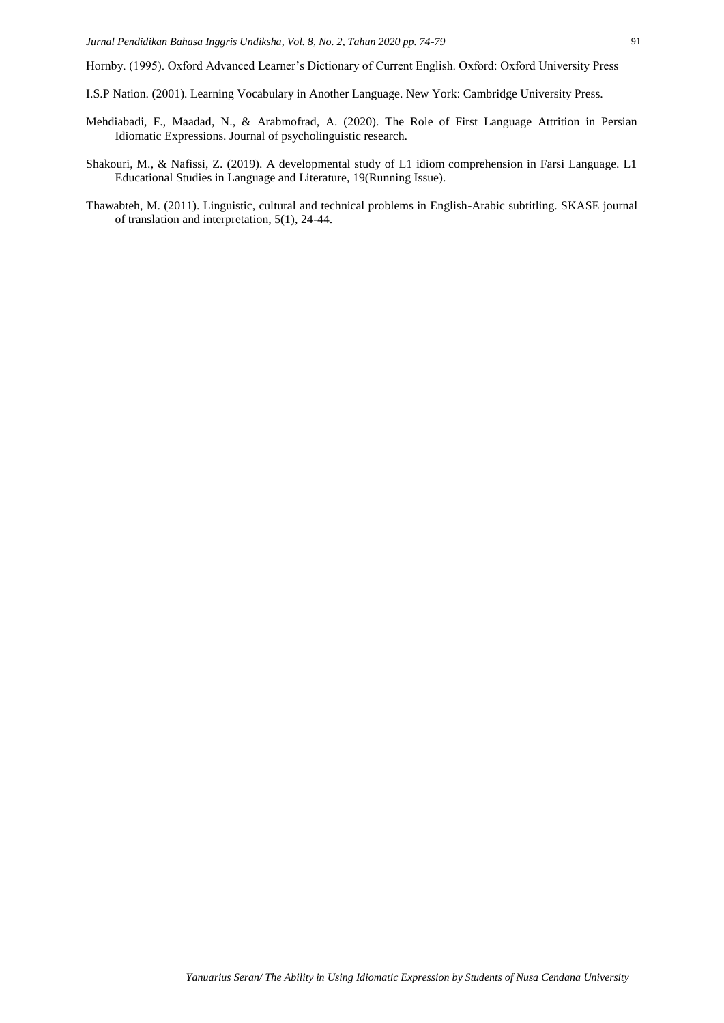Hornby. (1995). Oxford Advanced Learner's Dictionary of Current English. Oxford: Oxford University Press

- I.S.P Nation. (2001). Learning Vocabulary in Another Language. New York: Cambridge University Press.
- Mehdiabadi, F., Maadad, N., & Arabmofrad, A. (2020). The Role of First Language Attrition in Persian Idiomatic Expressions. Journal of psycholinguistic research.
- Shakouri, M., & Nafissi, Z. (2019). A developmental study of L1 idiom comprehension in Farsi Language. L1 Educational Studies in Language and Literature, 19(Running Issue).
- Thawabteh, M. (2011). Linguistic, cultural and technical problems in English-Arabic subtitling. SKASE journal of translation and interpretation, 5(1), 24-44.